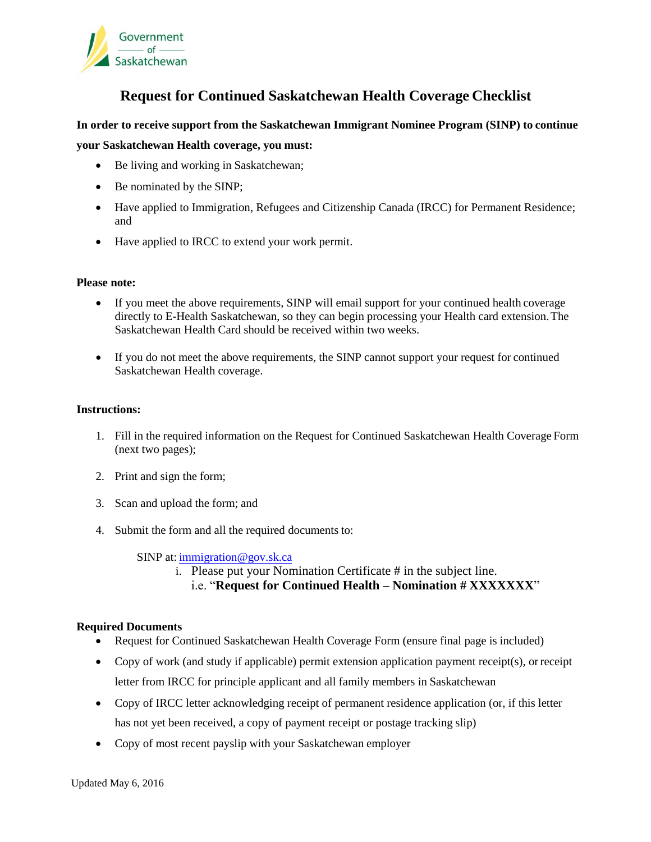

### **Request for Continued Saskatchewan Health Coverage Checklist**

#### **In order to receive support from the Saskatchewan Immigrant Nominee Program (SINP) to continue**

#### **your Saskatchewan Health coverage, you must:**

- Be living and working in Saskatchewan;
- Be nominated by the SINP;
- Have applied to Immigration, Refugees and Citizenship Canada (IRCC) for Permanent Residence; and
- Have applied to IRCC to extend your work permit.

#### **Please note:**

- If you meet the above requirements, SINP will email support for your continued health coverage directly to E-Health Saskatchewan, so they can begin processing your Health card extension. The Saskatchewan Health Card should be received within two weeks.
- If you do not meet the above requirements, the SINP cannot support your request for continued Saskatchewan Health coverage.

#### **Instructions:**

- 1. Fill in the required information on the Request for Continued Saskatchewan Health Coverage Form (next two pages);
- 2. Print and sign the form;
- 3. Scan and upload the form; and
- 4. Submit the form and all the required documents to:

SINP at[: immigration@gov.sk.ca](mailto:immigration.documents@gov.sk.ca)

i. Please put your Nomination Certificate # in the subject line.

#### i.e. "**Request for Continued Health – Nomination # XXXXXXX**"

#### **Required Documents**

- Request for Continued Saskatchewan Health Coverage Form (ensure final page is included)
- Copy of work (and study if applicable) permit extension application payment receipt(s), or receipt letter from IRCC for principle applicant and all family members in Saskatchewan
- Copy of IRCC letter acknowledging receipt of permanent residence application (or, if this letter has not yet been received, a copy of payment receipt or postage tracking slip)
- Copy of most recent payslip with your Saskatchewan employer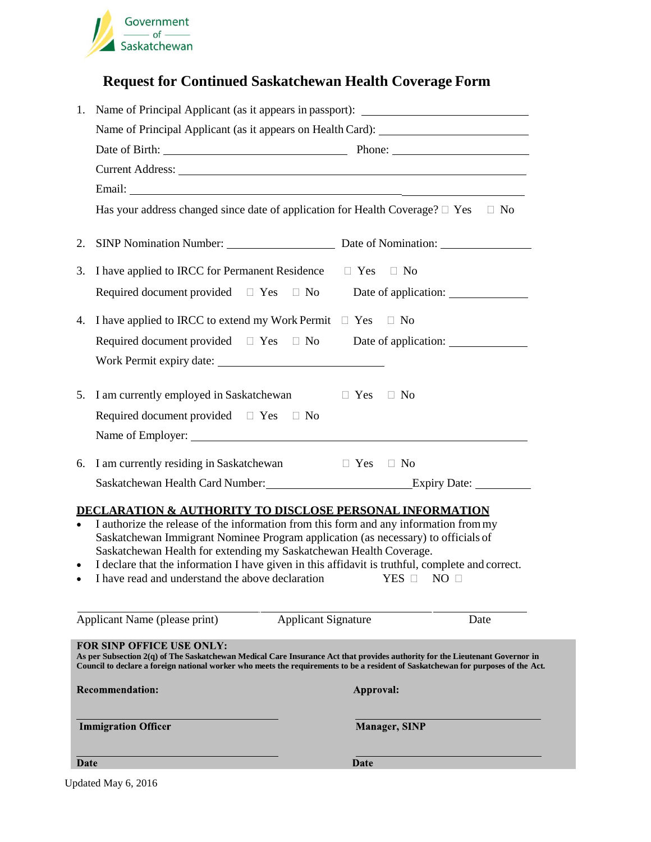

# **Request for Continued Saskatchewan Health Coverage Form**

| 1.        | Name of Principal Applicant (as it appears in passport): ________________________                                                                                                                                                                                                                                                                                                                                                                                                                    |                      |      |  |  |  |
|-----------|------------------------------------------------------------------------------------------------------------------------------------------------------------------------------------------------------------------------------------------------------------------------------------------------------------------------------------------------------------------------------------------------------------------------------------------------------------------------------------------------------|----------------------|------|--|--|--|
|           | Name of Principal Applicant (as it appears on Health Card): _____________________                                                                                                                                                                                                                                                                                                                                                                                                                    |                      |      |  |  |  |
|           |                                                                                                                                                                                                                                                                                                                                                                                                                                                                                                      |                      |      |  |  |  |
|           |                                                                                                                                                                                                                                                                                                                                                                                                                                                                                                      |                      |      |  |  |  |
|           |                                                                                                                                                                                                                                                                                                                                                                                                                                                                                                      |                      |      |  |  |  |
|           | Has your address changed since date of application for Health Coverage? $\Box$ Yes $\Box$ No                                                                                                                                                                                                                                                                                                                                                                                                         |                      |      |  |  |  |
| 2.        | SINP Nomination Number: Date of Nomination:                                                                                                                                                                                                                                                                                                                                                                                                                                                          |                      |      |  |  |  |
|           | 3. I have applied to IRCC for Permanent Residence $\square$ Yes $\square$ No                                                                                                                                                                                                                                                                                                                                                                                                                         |                      |      |  |  |  |
|           | Required document provided $\Box$ Yes $\Box$ No Date of application:                                                                                                                                                                                                                                                                                                                                                                                                                                 |                      |      |  |  |  |
|           | 4. I have applied to IRCC to extend my Work Permit $\Box$ Yes $\Box$ No                                                                                                                                                                                                                                                                                                                                                                                                                              |                      |      |  |  |  |
|           | Required document provided $\square$ Yes $\square$ No Date of application:                                                                                                                                                                                                                                                                                                                                                                                                                           |                      |      |  |  |  |
|           |                                                                                                                                                                                                                                                                                                                                                                                                                                                                                                      |                      |      |  |  |  |
|           | 5. I am currently employed in Saskatchewan $\Box$ Yes $\Box$ No                                                                                                                                                                                                                                                                                                                                                                                                                                      |                      |      |  |  |  |
|           | Required document provided $\Box$ Yes $\Box$ No                                                                                                                                                                                                                                                                                                                                                                                                                                                      |                      |      |  |  |  |
|           |                                                                                                                                                                                                                                                                                                                                                                                                                                                                                                      |                      |      |  |  |  |
| 6.        | I am currently residing in Saskatchewan □ Yes □ No                                                                                                                                                                                                                                                                                                                                                                                                                                                   |                      |      |  |  |  |
|           | Saskatchewan Health Card Number: Expiry Date: __________________________________                                                                                                                                                                                                                                                                                                                                                                                                                     |                      |      |  |  |  |
| $\bullet$ | <b>DECLARATION &amp; AUTHORITY TO DISCLOSE PERSONAL INFORMATION</b><br>I authorize the release of the information from this form and any information from my<br>Saskatchewan Immigrant Nominee Program application (as necessary) to officials of<br>Saskatchewan Health for extending my Saskatchewan Health Coverage.<br>I declare that the information I have given in this affidavit is truthful, complete and correct.<br>I have read and understand the above declaration YES $\Box$ NO $\Box$ |                      |      |  |  |  |
|           | Applicant Name (please print)<br><b>Applicant Signature</b>                                                                                                                                                                                                                                                                                                                                                                                                                                          |                      | Date |  |  |  |
|           | FOR SINP OFFICE USE ONLY:<br>As per Subsection $2(q)$ of The Saskatchewan Medical Care Insurance Act that provides authority for the Lieutenant Governor in<br>Council to declare a foreign national worker who meets the requirements to be a resident of Saskatchewan for purposes of the Act.                                                                                                                                                                                                     |                      |      |  |  |  |
|           | <b>Recommendation:</b>                                                                                                                                                                                                                                                                                                                                                                                                                                                                               | Approval:            |      |  |  |  |
|           | <b>Immigration Officer</b>                                                                                                                                                                                                                                                                                                                                                                                                                                                                           | <b>Manager, SINP</b> |      |  |  |  |
| Date      |                                                                                                                                                                                                                                                                                                                                                                                                                                                                                                      | Date                 |      |  |  |  |